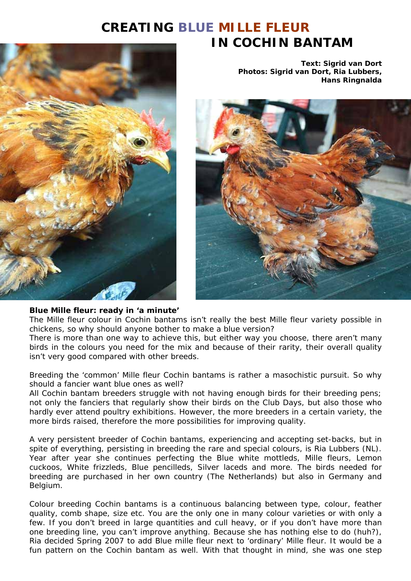# **CREATING BLUE MILLE FLEUR IN COCHIN BANTAM**



**Text: Sigrid van Dort Photos: Sigrid van Dort, Ria Lubbers, Hans Ringnalda**



#### **Blue Mille fleur: ready in 'a minute'**

The Mille fleur colour in Cochin bantams isn't really the best Mille fleur variety possible in chickens, so why should anyone bother to make a blue version?

There is more than one way to achieve this, but either way you choose, there aren't many birds in the colours you need for the mix and because of their rarity, their overall quality isn't very good compared with other breeds.

Breeding the 'common' Mille fleur Cochin bantams is rather a masochistic pursuit. So why should a fancier want blue ones as well?

All Cochin bantam breeders struggle with not having enough birds for their breeding pens; not only the fanciers that regularly show their birds on the Club Days, but also those who hardly ever attend poultry exhibitions. However, the more breeders in a certain variety, the more birds raised, therefore the more possibilities for improving quality.

A very persistent breeder of Cochin bantams, experiencing and accepting set-backs, but in spite of everything, persisting in breeding the rare and special colours, is Ria Lubbers (NL). Year after year she continues perfecting the Blue white mottleds, Mille fleurs, Lemon cuckoos, White frizzleds, Blue pencilleds, Silver laceds and more. The birds needed for breeding are purchased in her own country (The Netherlands) but also in Germany and Belgium.

Colour breeding Cochin bantams is a continuous balancing between type, colour, feather quality, comb shape, size etc. You are the only one in many colour varieties or with only a few. If you don't breed in large quantities and cull heavy, or if you don't have more than one breeding line, you can't improve anything. Because she has nothing else to do (huh?), Ria decided Spring 2007 to add Blue mille fleur next to 'ordinary' Mille fleur. It would be a fun pattern on the Cochin bantam as well. With that thought in mind, she was one step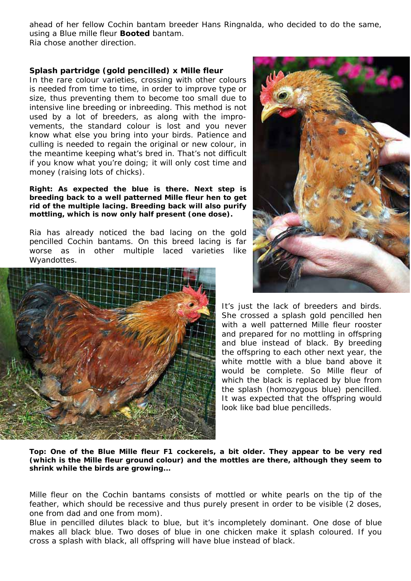ahead of her fellow Cochin bantam breeder Hans Ringnalda, who decided to do the same, using a Blue mille fleur **Booted** bantam. Ria chose another direction.

**Splash partridge (gold pencilled) x Mille fleur**  In the rare colour varieties, crossing with other colours is needed from time to time, in order to improve type or size, thus preventing them to become too small due to intensive line breeding or inbreeding. This method is not used by a lot of breeders, as along with the improvements, the standard colour is lost and you never know what else you bring into your birds. Patience and culling is needed to regain the original or new colour, in the meantime keeping what's bred in. That's not difficult if you know what you're doing; it will only cost time and money (raising lots of chicks).

**Right: As expected the blue is there. Next step is breeding back to a well patterned Mille fleur hen to get rid of the multiple lacing. Breeding back will also purify mottling, which is now only half present (one dose).** 

Ria has already noticed the bad lacing on the gold pencilled Cochin bantams. On this breed lacing is far worse as in other multiple laced varieties like Wyandottes.





It's just the lack of breeders and birds. She crossed a splash gold pencilled hen with a well patterned Mille fleur rooster and prepared for no mottling in offspring and blue instead of black. By breeding the offspring to each other next year, the white mottle with a blue band above it would be complete. So Mille fleur of which the black is replaced by blue from the splash (homozygous blue) pencilled. It was expected that the offspring would look like bad blue pencilleds.

**Top: One of the Blue Mille fleur F1 cockerels, a bit older. They appear to be very red (which is the Mille fleur ground colour) and the mottles are there, although they seem to shrink while the birds are growing...** 

Mille fleur on the Cochin bantams consists of mottled or white pearls on the tip of the feather, which should be recessive and thus purely present in order to be visible (2 doses, one from dad and one from mom).

Blue in pencilled dilutes black to blue, but it's incompletely dominant. One dose of blue makes all black blue. Two doses of blue in one chicken make it splash coloured. If you cross a splash with black, all offspring will have blue instead of black.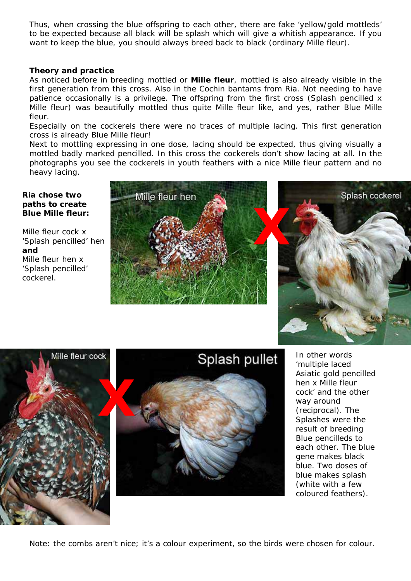Thus, when crossing the blue offspring to each other, there are fake 'yellow/gold mottleds' to be expected because all black will be splash which will give a whitish appearance. If you want to keep the blue, you should always breed back to black (ordinary Mille fleur).

### **Theory and practice**

As noticed before in breeding mottled or **Mille fleur**, mottled is also already visible in the first generation from this cross. Also in the Cochin bantams from Ria. Not needing to have patience occasionally is a privilege. The offspring from the first cross (Splash pencilled x Mille fleur) was beautifully mottled thus quite Mille fleur like, and yes, rather Blue Mille fleur.

Especially on the cockerels there were no traces of multiple lacing. This first generation cross is already Blue Mille fleur!

Next to mottling expressing in one dose, lacing should be expected, thus giving visually a mottled badly marked pencilled. In this cross the cockerels don't show lacing at all. In the photographs you see the cockerels in youth feathers with a nice Mille fleur pattern and no heavy lacing.

#### *Ria chose two paths to create Blue Mille fleur:*

Mille fleur cock x 'Splash pencilled' hen **and** Mille fleur hen x 'Splash pencilled' cockerel.









In other words 'multiple laced Asiatic gold pencilled hen x Mille fleur cock' and the other way around (reciprocal). The Splashes were the result of breeding Blue pencilleds to each other. The blue gene makes black blue. Two doses of blue makes splash (white with a few coloured feathers).

Note: the combs aren't nice; it's a colour experiment, so the birds were chosen for colour.